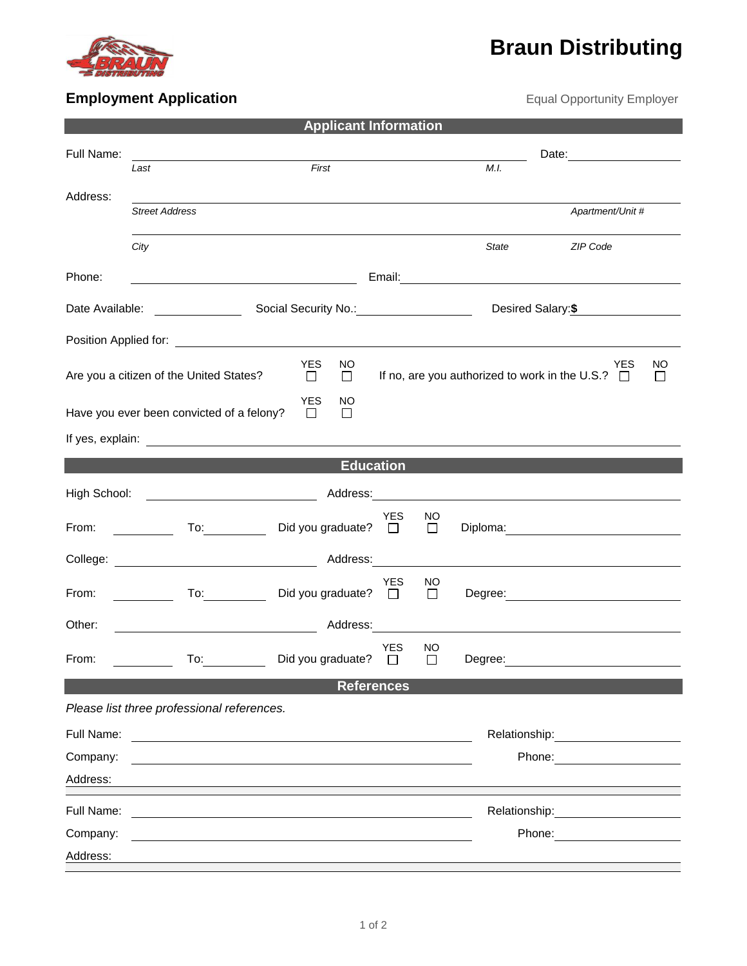

## **Braun Distributing**

## **Employment Application Employment Application Exercise 2018 Equal Opportunity Employer**

| <b>Applicant Information</b>                                                                                                                                     |                                                                                                                                                                                                                                                                                                      |                                      |            |                     |                    |                                                                                                                                                                                                                                |  |  |  |  |  |
|------------------------------------------------------------------------------------------------------------------------------------------------------------------|------------------------------------------------------------------------------------------------------------------------------------------------------------------------------------------------------------------------------------------------------------------------------------------------------|--------------------------------------|------------|---------------------|--------------------|--------------------------------------------------------------------------------------------------------------------------------------------------------------------------------------------------------------------------------|--|--|--|--|--|
| Full Name:                                                                                                                                                       |                                                                                                                                                                                                                                                                                                      |                                      |            |                     | Date: 2008         |                                                                                                                                                                                                                                |  |  |  |  |  |
|                                                                                                                                                                  | Last                                                                                                                                                                                                                                                                                                 | First                                |            |                     | M.I.               |                                                                                                                                                                                                                                |  |  |  |  |  |
| Address:                                                                                                                                                         | <b>Street Address</b>                                                                                                                                                                                                                                                                                |                                      |            |                     |                    | Apartment/Unit #                                                                                                                                                                                                               |  |  |  |  |  |
|                                                                                                                                                                  |                                                                                                                                                                                                                                                                                                      |                                      |            |                     |                    |                                                                                                                                                                                                                                |  |  |  |  |  |
|                                                                                                                                                                  | City                                                                                                                                                                                                                                                                                                 |                                      |            |                     | State              | ZIP Code                                                                                                                                                                                                                       |  |  |  |  |  |
| Phone:                                                                                                                                                           | <u> 1980 - Johann Barbara, martin amerikan basar dan basar dan basar dalam basar dalam basar dalam basar dalam ba</u>                                                                                                                                                                                |                                      |            |                     |                    |                                                                                                                                                                                                                                |  |  |  |  |  |
| Date Available:                                                                                                                                                  | Social Security No.: 1994                                                                                                                                                                                                                                                                            |                                      |            |                     | Desired Salary: \$ |                                                                                                                                                                                                                                |  |  |  |  |  |
|                                                                                                                                                                  |                                                                                                                                                                                                                                                                                                      |                                      |            |                     |                    |                                                                                                                                                                                                                                |  |  |  |  |  |
| YES<br>NO.<br>NO<br><b>YES</b><br>If no, are you authorized to work in the U.S.? $\Box$<br>Are you a citizen of the United States?<br>$\Box$<br>$\Box$<br>$\Box$ |                                                                                                                                                                                                                                                                                                      |                                      |            |                     |                    |                                                                                                                                                                                                                                |  |  |  |  |  |
|                                                                                                                                                                  | Have you ever been convicted of a felony?                                                                                                                                                                                                                                                            | <b>YES</b><br>NO<br>$\Box$<br>$\Box$ |            |                     |                    |                                                                                                                                                                                                                                |  |  |  |  |  |
|                                                                                                                                                                  |                                                                                                                                                                                                                                                                                                      |                                      |            |                     |                    |                                                                                                                                                                                                                                |  |  |  |  |  |
| <b>Education</b>                                                                                                                                                 |                                                                                                                                                                                                                                                                                                      |                                      |            |                     |                    |                                                                                                                                                                                                                                |  |  |  |  |  |
|                                                                                                                                                                  | High School: <u>___________________________</u>                                                                                                                                                                                                                                                      | Address: _________                   |            |                     |                    |                                                                                                                                                                                                                                |  |  |  |  |  |
| From:                                                                                                                                                            | $\overline{\phantom{a}}$ and $\overline{\phantom{a}}$ and $\overline{\phantom{a}}$                                                                                                                                                                                                                   | Did you graduate? $\Box$             | <b>YES</b> | NO<br>$\Box$        |                    |                                                                                                                                                                                                                                |  |  |  |  |  |
|                                                                                                                                                                  | College: Address: Address:                                                                                                                                                                                                                                                                           |                                      |            |                     |                    |                                                                                                                                                                                                                                |  |  |  |  |  |
| From:                                                                                                                                                            | To: and the state of the state of the state of the state of the state of the state of the state of the state of the state of the state of the state of the state of the state of the state of the state of the state of the st<br>$\mathcal{L}^{\text{max}}$ . The set of $\mathcal{L}^{\text{max}}$ | Did you graduate? $\Box$             | YES        | <b>NO</b><br>$\Box$ |                    |                                                                                                                                                                                                                                |  |  |  |  |  |
| Other:                                                                                                                                                           | <u> 1980 - Johann Barn, mars eta biztanleria (</u>                                                                                                                                                                                                                                                   | Address:                             |            |                     |                    |                                                                                                                                                                                                                                |  |  |  |  |  |
| From:                                                                                                                                                            | To:                                                                                                                                                                                                                                                                                                  | Did you graduate? $\square$          | <b>YES</b> | NO.<br>□            | Degree:            |                                                                                                                                                                                                                                |  |  |  |  |  |
|                                                                                                                                                                  |                                                                                                                                                                                                                                                                                                      | <b>References</b>                    |            |                     |                    |                                                                                                                                                                                                                                |  |  |  |  |  |
|                                                                                                                                                                  | Please list three professional references.                                                                                                                                                                                                                                                           |                                      |            |                     |                    |                                                                                                                                                                                                                                |  |  |  |  |  |
| Full Name:                                                                                                                                                       | <u> 1980 - John Stein, Amerikaansk politiker (</u>                                                                                                                                                                                                                                                   |                                      |            |                     |                    | Relationship: example and the set of the set of the set of the set of the set of the set of the set of the set of the set of the set of the set of the set of the set of the set of the set of the set of the set of the set o |  |  |  |  |  |
| Company:                                                                                                                                                         |                                                                                                                                                                                                                                                                                                      |                                      |            |                     |                    | Phone: The contract of the contract of the contract of the contract of the contract of the contract of the contract of the contract of the contract of the contract of the contract of the contract of the contract of the con |  |  |  |  |  |
| Address:                                                                                                                                                         |                                                                                                                                                                                                                                                                                                      |                                      |            |                     |                    |                                                                                                                                                                                                                                |  |  |  |  |  |
| Full Name:                                                                                                                                                       |                                                                                                                                                                                                                                                                                                      |                                      |            |                     |                    | Relationship: Note that                                                                                                                                                                                                        |  |  |  |  |  |
| Company:                                                                                                                                                         |                                                                                                                                                                                                                                                                                                      |                                      |            |                     |                    | Phone: <u>________</u>                                                                                                                                                                                                         |  |  |  |  |  |
| Address:                                                                                                                                                         |                                                                                                                                                                                                                                                                                                      |                                      |            |                     |                    |                                                                                                                                                                                                                                |  |  |  |  |  |